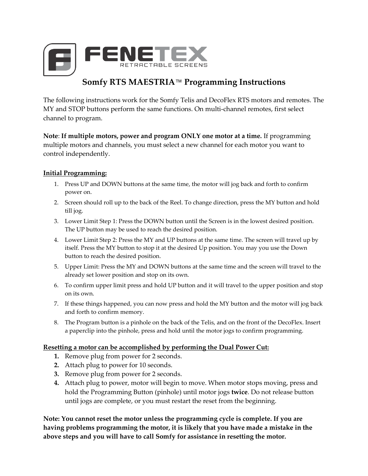

# **Somfy RTS MAESTRIA**™ **Programming Instructions**

The following instructions work for the Somfy Telis and DecoFlex RTS motors and remotes. The MY and STOP buttons perform the same functions. On multi-channel remotes, first select channel to program.

**Note**: **If multiple motors, power and program ONLY one motor at a time.** If programming multiple motors and channels, you must select a new channel for each motor you want to control independently.

## **Initial Programming:**

- 1. Press UP and DOWN buttons at the same time, the motor will jog back and forth to confirm power on.
- 2. Screen should roll up to the back of the Reel. To change direction, press the MY button and hold till jog.
- 3. Lower Limit Step 1: Press the DOWN button until the Screen is in the lowest desired position. The UP button may be used to reach the desired position.
- 4. Lower Limit Step 2: Press the MY and UP buttons at the same time. The screen will travel up by itself. Press the MY button to stop it at the desired Up position. You may you use the Down button to reach the desired position.
- 5. Upper Limit: Press the MY and DOWN buttons at the same time and the screen will travel to the already set lower position and stop on its own.
- 6. To confirm upper limit press and hold UP button and it will travel to the upper position and stop on its own.
- 7. If these things happened, you can now press and hold the MY button and the motor will jog back and forth to confirm memory.
- 8. The Program button is a pinhole on the back of the Telis, and on the front of the DecoFlex. Insert a paperclip into the pinhole, press and hold until the motor jogs to confirm programming.

#### **Resetting a motor can be accomplished by performing the Dual Power Cut:**

- **1.** Remove plug from power for 2 seconds.
- **2.** Attach plug to power for 10 seconds.
- **3.** Remove plug from power for 2 seconds.
- **4.** Attach plug to power, motor will begin to move. When motor stops moving, press and hold the Programming Button (pinhole) until motor jogs **twice**. Do not release button until jogs are complete, or you must restart the reset from the beginning.

**Note: You cannot reset the motor unless the programming cycle is complete. If you are having problems programming the motor, it is likely that you have made a mistake in the above steps and you will have to call Somfy for assistance in resetting the motor.**